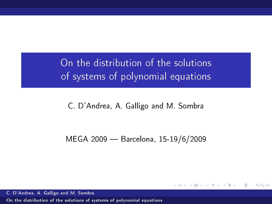On the distribution of the solutions of systems of polynomial equations

C. D'Andrea, A. Galligo and M. Sombra

MEGA 2009 - Barcelona, 15-19/6/2009

 $\leftarrow$   $\Box$   $\rightarrow$   $\rightarrow$   $\overline{\land}$   $\rightarrow$   $\rightarrow$   $\overline{\rightarrow}$   $\rightarrow$   $\rightarrow$ 

重

<span id="page-0-0"></span> $\Omega$ 

C. D'Andrea, A. Galligo and M. Sombra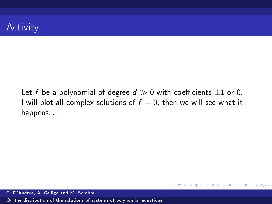Let f be a polynomial of degree  $d \gg 0$  with coefficients  $\pm 1$  or 0. I will plot all complex solutions of  $f = 0$ , then we will see what it happens. . .

 $\left\{ \begin{array}{ccc} 1 & 0 & 0 \\ 0 & 1 & 0 \end{array} \right.$  ,  $\left\{ \begin{array}{ccc} \frac{1}{2} & 0 & 0 \\ 0 & 0 & 0 \end{array} \right.$ 

■

 $2990$ 

C. D'Andrea, A. Galligo and M. Sombra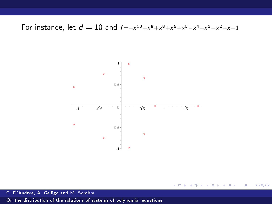For instance, let  $d = 10$  and  $f = -x^{10} + x^9 + x^8 + x^6 + x^5 - x^4 + x^3 - x^2 + x - 1$ 



メロト メタト メミト メミト ミー  $299$ 

C. D'Andrea, A. Galligo and M. Sombra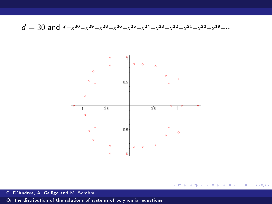d = 30 and  $f = x^{30} - x^{29} - x^{28} + x^{26} + x^{25} - x^{24} - x^{23} - x^{22} + x^{21} - x^{20} + x^{19} + \cdots$ 



K ロ ▶ K 個 ▶ K 君 ▶ K 君 ▶ 「君」 めなひ

C. D'Andrea, A. Galligo and M. Sombra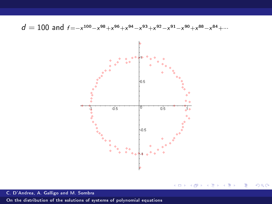$d = 100$  and  $f = -x^{100} - x^{98} + x^{96} + x^{94} - x^{93} + x^{92} - x^{91} - x^{90} + x^{88} - x^{84} + \cdots$ 



メロト メタト メミト メミト

ミー  $299$ 

C. D'Andrea, A. Galligo and M. Sombra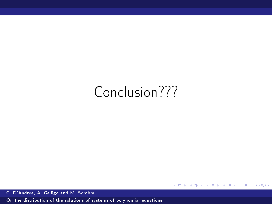## Conclusion???

メロト メタト メミト メミト

ミー  $2990$ 

C. D'Andrea, A. Galligo and M. Sombra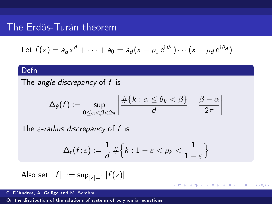## The Erdös-Turán theorem

Let 
$$
f(x) = a_d x^d + \cdots + a_0 = a_d (x - \rho_1 e^{i\theta_1}) \cdots (x - \rho_d e^{i\theta_d})
$$

#### Defn

The *angle discrepancy* of f is

$$
\Delta_{\theta}(f) := \sup_{0 \leq \alpha < \beta < 2\pi} \left| \frac{\#\{k : \alpha \leq \theta_k < \beta\}}{d} - \frac{\beta - \alpha}{2\pi} \right|
$$

The  $\varepsilon$ -radius discrepancy of f is

$$
\Delta_{\mathrm{r}}(f;\varepsilon):=\frac{1}{d}\,\#\Big\{k:1-\varepsilon<\rho_k<\frac{1}{1-\varepsilon}\Big\}
$$

**K □ ▶ K n □ ▶** 

 $\prec$ Box 4 Þ 目

 $\Omega$ 

Also set 
$$
||f|| := \sup_{|z|=1} |f(z)|
$$

C. D'Andrea, A. Galligo and M. Sombra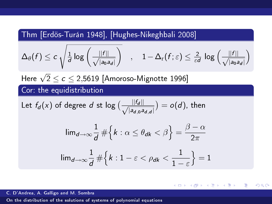Thm [Erdös-Turán 1948], [Hughes-Nikeghbali 2008]

$$
\Delta_{\theta}(f) \leq c \, \sqrt{\tfrac{1}{d} \log \left(\tfrac{||f||}{\sqrt{|\mathsf{a}_0 \mathsf{a}_d|}}\right)} \quad , \quad 1 - \Delta_{\mathrm{r}}(f; \varepsilon) \leq \tfrac{2}{\varepsilon d} \, \log \left(\tfrac{||f||}{\sqrt{|\mathsf{a}_0 \mathsf{a}_d|}}\right)
$$

Here  $\sqrt{2}$  ≤  $c$  ≤ 2,5619 [Amoroso-Mignotte 1996]

Cor: the equidistribution

Let 
$$
f_d(x)
$$
 of degree d st  $\log \left( \frac{||f_d||}{\sqrt{|a_{d,0}a_{d,d}|}} \right) = o(d)$ , then

$$
\lim_{d \to \infty} \frac{1}{d} \# \left\{ k : \alpha \le \theta_{dk} < \beta \right\} = \frac{\beta - \alpha}{2\pi}
$$

$$
\lim_{d \to \infty} \frac{1}{d} \# \left\{ k : 1 - \varepsilon < \rho_{dk} < \frac{1}{1 - \varepsilon} \right\} = 1
$$

K ロ K K @ X K 경 X K 경 X 시 경

 $\Omega$ 

C. D'Andrea, A. Galligo and M. Sombra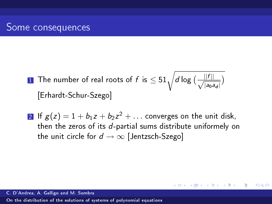- $\frac{1}{\sqrt{1-\frac{1}{n}}}$  The number of real roots of  $f$  is  $\leq 51\sqrt{d\log\left(\frac{-\|f\|}{\sqrt{1-\|f\|_2}\right)}}$  $\frac{||T||}{|a_0a_d|}$ [Erhardt-Schur-Szego]
- 2 If  $g(z) = 1 + b_1 z + b_2 z^2 + \ldots$  converges on the unit disk, then the zeros of its d-partial sums distribute uniformely on the unit circle for  $d \rightarrow \infty$  [Jentzsch-Szego]

 $($  ロ )  $($   $($   $\frac{1}{2}$   $)$   $($   $\frac{1}{2}$   $)$   $($   $\frac{1}{2}$   $)$ 

Ε

 $209$ 

C. D'Andrea, A. Galligo and M. Sombra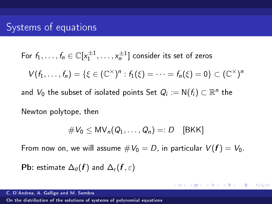For  $f_1,\ldots,f_n\in\mathbb{C}[x_1^{\pm1},\ldots,x_n^{\pm1}]$  consider its set of zeros  $V(f_1, ..., f_n) = \{ \xi \in (\mathbb{C}^{\times})^n : f_1(\xi) = \cdots = f_n(\xi) = 0 \} \subset (\mathbb{C}^{\times})^n$ and  $V_0$  the subset of isolated points Set  $Q_i := \mathsf{N}(f_i) \subset \mathbb{R}^n$  the

Newton polytope, then

$$
\#V_0 \le MV_n(Q_1,\ldots,Q_n)=:D\quad[\text{BKK}]
$$

**KOD KAD KED KED E MAA** 

From now on, we will assume  $\#V_0 = D$ , in particular  $V(f) = V_0$ .

Pb: estimate  $\Delta_{\theta}(f)$  and  $\Delta_{r}(f, \varepsilon)$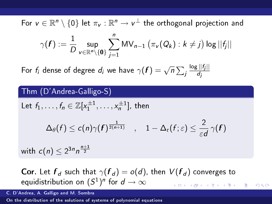For  $v \in \mathbb{R}^n \setminus \{0\}$  let  $\pi_v : \mathbb{R}^n \to v^{\perp}$  the orthogonal projection and

$$
\gamma(\boldsymbol{f}) := \frac{1}{D} \sup_{v \in \mathbb{R}^n \setminus \{\boldsymbol{0}\}} \sum_{j=1}^n \mathsf{MV}_{n-1}\left(\pi_v(Q_k) : k \neq j\right) \log ||f_j||
$$

For  $f_i$  dense of degree  $d_i$  we have  $\gamma(\bm{f}) = \sqrt{n} \sum_j$  $\log ||f_j||$ dj

Thm (D'Andrea-Galligo-S)  
\nLet 
$$
f_1, ..., f_n \in \mathbb{Z}[x_1^{\pm 1}, ..., x_n^{\pm 1}]
$$
, then  
\n
$$
\Delta_{\theta}(f) \le c(n)\gamma(f)^{\frac{1}{2(n+1)}}, \quad 1 - \Delta_{r}(f; \varepsilon) \le \frac{2}{\varepsilon d} \gamma(f)
$$
\nwith  $c(n) \le 2^{3n}n^{\frac{n+1}{2}}$ 

**Cor.** Let  $f_d$  such that  $\gamma(f_d) = o(d)$ , then  $V(f_d)$  converges to equidistribution on  $(S^1)^n$  for  $d\to\infty$ 

 $209$ 

C. D'Andrea, A. Galligo and M. Sombra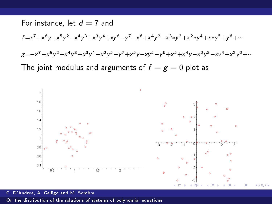For instance, let 
$$
d = 7
$$
 and  
\n
$$
f = x^7 + x^6y + x^5y^2 - x^4y^3 + x^3y^4 + xy^6 - y^7 - x^6 + x^4y^2 - x^3*y^3 + x^2*y^4 + x*y^5 + y^6 + \cdots
$$
\n
$$
g = -x^7 - x^5y^2 + x^4y^3 + x^3y^4 - x^2y^5 - y^7 + x^5y - xy^5 - y^6 + x^5 + x^4y - x^2y^3 - xy^4 + x^2y^2 + \cdots
$$
\nThe joint modulus and arguments of  $f = g = 0$  plot as



C. D'Andrea, A. Galligo and M. Sombra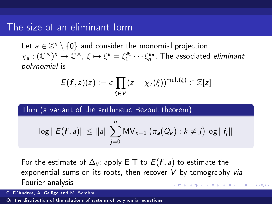### The size of an eliminant form

Let  $a \in \mathbb{Z}^n \setminus \{0\}$  and consider the monomial projection  $\chi_{\sf a}:(\mathbb C^\times)^{\sf n}\to\mathbb C^\times$  ,  $\xi\mapsto \xi^{\sf a}=\xi_1^{{\sf a}_1}\cdots\xi_n^{{\sf a}_n}$  . The associated *eliminant* polynomial is

$$
E(f,a)(z) := c \prod_{\xi \in V} (z - \chi_a(\xi))^{\mathsf{mult}(\xi)} \in \mathbb{Z}[z]
$$

Thm (a variant of the arithmetic Bezout theorem)

$$
\log ||E(\mathbf{f}, a)|| \le ||a|| \sum_{j=0}^{n} \mathsf{MV}_{n-1}(\pi_a(Q_k): k \neq j) \log ||f_j||
$$

For the estimate of  $\Delta_{\theta}$ : apply E-T to  $E(f, a)$  to estimate the exponential sums on its roots, then recover  $V$  by tomography via Fourier analysis

 $209$ 

C. D'Andrea, A. Galligo and M. Sombra